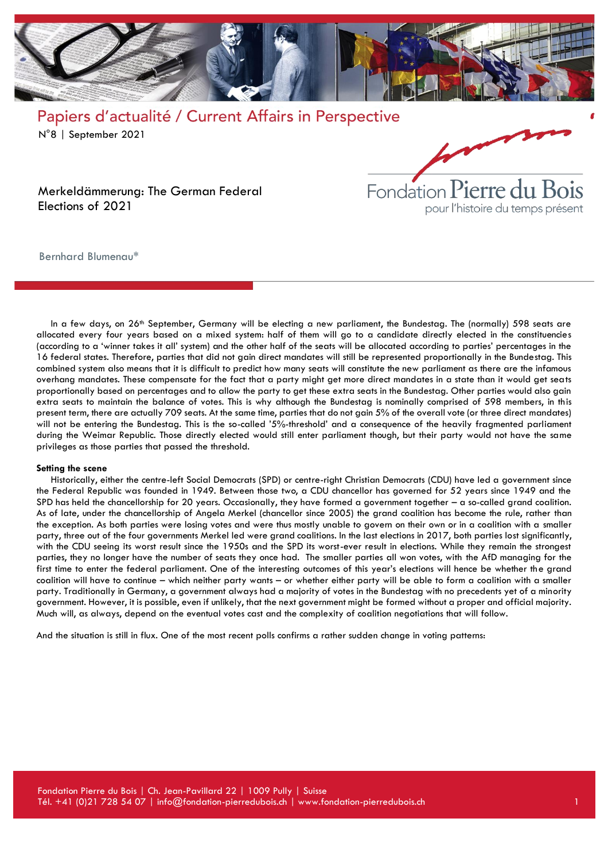

Papiers d'actualité / Current Affairs in Perspective N°8 | September 2021



Merkeldämmerung: The German Federal Elections of 2021

Bernhard Blumenau\*

In a few days, on 26<sup>th</sup> September, Germany will be electing a new parliament, the Bundestag. The (normally) 598 seats are allocated every four years based on a mixed system: half of them will go to a candidate directly elected in the constituencies (according to a 'winner takes it all' system) and the other half of the seats will be allocated according to parties' percentages in the 16 federal states. Therefore, parties that did not gain direct mandates will still be represented proportionally in the Bundestag. This combined system also means that it is difficult to predict how many seats will constitute the new parliament as there are the infamous overhang mandates. These compensate for the fact that a party might get more direct mandates in a state than it would get seats proportionally based on percentages and to allow the party to get these extra seats in the Bundestag. Other parties would also gain extra seats to maintain the balance of votes. This is why although the Bundestag is nominally comprised of 598 members, in this present term, there are actually 709 seats. At the same time, parties that do not gain 5% of the overall vote (or three direct mandates) will not be entering the Bundestag. This is the so-called '5%-threshold' and a consequence of the heavily fragmented parliament during the Weimar Republic. Those directly elected would still enter parliament though, but their party would not have the same privileges as those parties that passed the threshold.

#### **Setting the scene**

Historically, either the centre-left Social Democrats (SPD) or centre-right Christian Democrats (CDU) have led a government since the Federal Republic was founded in 1949. Between those two, a CDU chancellor has governed for 52 years since 1949 and the SPD has held the chancellorship for 20 years. Occasionally, they have formed a government together – a so-called grand coalition. As of late, under the chancellorship of Angela Merkel (chancellor since 2005) the grand coalition has become the rule, rather than the exception. As both parties were losing votes and were thus mostly unable to govern on their own or in a coalition with a smaller party, three out of the four governments Merkel led were grand coalitions. In the last elections in 2017, both parties lost significantly, with the CDU seeing its worst result since the 1950s and the SPD its worst-ever result in elections. While they remain the strongest parties, they no longer have the number of seats they once had. The smaller parties all won votes, with the AfD managing for the first time to enter the federal parliament. One of the interesting outcomes of this year's elections will hence be whether the grand coalition will have to continue – which neither party wants – or whether either party will be able to form a coalition with a smaller party. Traditionally in Germany, a government always had a majority of votes in the Bundestag with no precedents yet of a minority government. However, it is possible, even if unlikely, that the next government might be formed without a proper and official majority. Much will, as always, depend on the eventual votes cast and the complexity of coalition negotiations that will follow.

And the situation is still in flux. One of the most recent polls confirms a rather sudden change in voting patterns: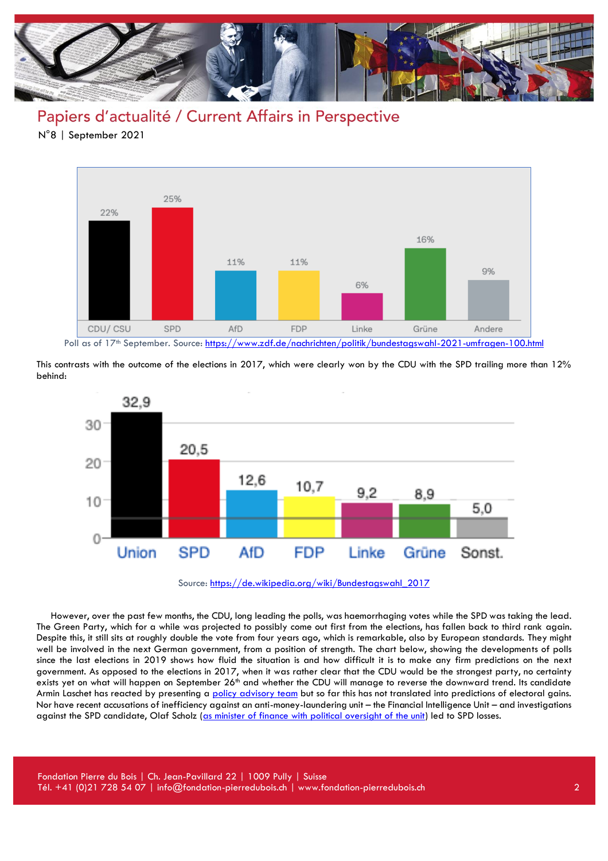

### Papiers d'actualité / Current Affairs in Perspective

N°8 | September 2021



This contrasts with the outcome of the elections in 2017, which were clearly won by the CDU with the SPD trailing more than 12% behind:



Source: [https://de.wikipedia.org/wiki/Bundestagswahl\\_2017](https://de.wikipedia.org/wiki/Bundestagswahl_2017)

However, over the past few months, the CDU, long leading the polls, was haemorrhaging votes while the SPD was taking the lead. The Green Party, which for a while was projected to possibly come out first from the elections, has fallen back to third rank again. Despite this, it still sits at roughly double the vote from four years ago, which is remarkable, also by European standards. They might well be involved in the next German government, from a position of strength. The chart below, showing the developments of polls since the last elections in 2019 shows how fluid the situation is and how difficult it is to make any firm predictions on the next government. As opposed to the elections in 2017, when it was rather clear that the CDU would be the strongest party, no certainty exists yet on what will happen on September 26<sup>th</sup> and whether the CDU will manage to reverse the downward trend. Its candidate Armin Laschet has reacted by presenting a [policy advisory team](https://www.dw.com/en/german-election-embattled-cdu-candidate-laschet-presents-policy-team/a-59071350) but so far this has not translated into predictions of electoral gains. Nor have recent accusations of inefficiency against an anti-money-laundering unit – the Financial Intelligence Unit – and investigations against the SPD candidate, Olaf Scholz [\(as minister of finance with political oversight of the unit\)](https://www.ft.com/content/ed8773bc-a869-4fd5-b89d-7137a3a3c639) led to SPD losses.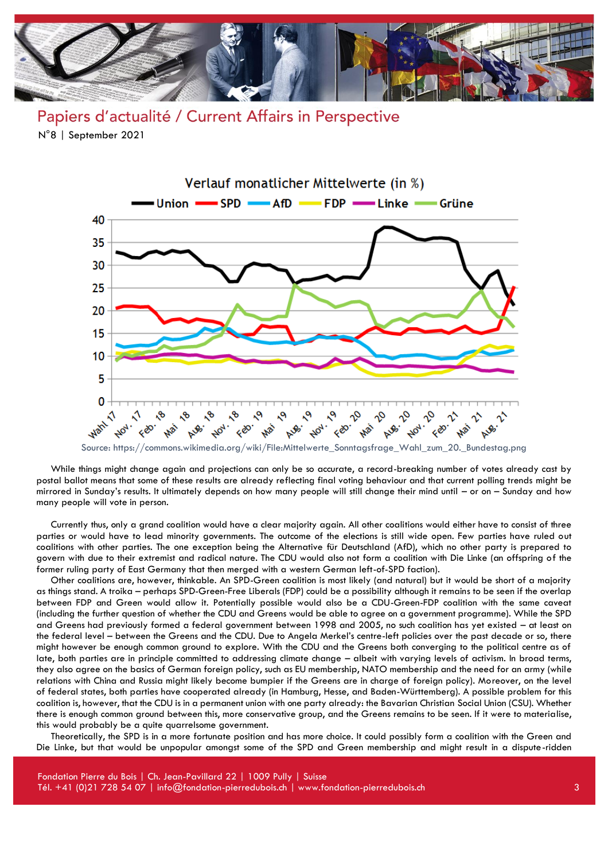

Papiers d'actualité / Current Affairs in Perspective N°8 | September 2021



While things might change again and projections can only be so accurate, a record-breaking number of votes already cast by postal ballot means that some of these results are already reflecting final voting behaviour and that current polling trends might be mirrored in Sunday's results. It ultimately depends on how many people will still change their mind until – or on – Sunday and how many people will vote in person.

Currently thus, only a grand coalition would have a clear majority again. All other coalitions would either have to consist of three parties or would have to lead minority governments. The outcome of the elections is still wide open. Few parties have ruled out coalitions with other parties. The one exception being the Alternative für Deutschland (AfD), which no other party is prepared to govern with due to their extremist and radical nature. The CDU would also not form a coalition with Die Linke (an offspring of the former ruling party of East Germany that then merged with a western German left-of-SPD faction).

Other coalitions are, however, thinkable. An SPD-Green coalition is most likely (and natural) but it would be short of a majority as things stand. A troika – perhaps SPD-Green-Free Liberals (FDP) could be a possibility although it remains to be seen if the overlap between FDP and Green would allow it. Potentially possible would also be a CDU-Green-FDP coalition with the same caveat (including the further question of whether the CDU and Greens would be able to agree on a government programme). While the SPD and Greens had previously formed a federal government between 1998 and 2005, no such coalition has yet existed – at least on the federal level – between the Greens and the CDU. Due to Angela Merkel's centre-left policies over the past decade or so, there might however be enough common ground to explore. With the CDU and the Greens both converging to the political centre as of late, both parties are in principle committed to addressing climate change – albeit with varying levels of activism. In broad terms, they also agree on the basics of German foreign policy, such as EU membership, NATO membership and the need for an army (while relations with China and Russia might likely become bumpier if the Greens are in charge of foreign policy). Moreover, on the level of federal states, both parties have cooperated already (in Hamburg, Hesse, and Baden-Württemberg). A possible problem for this coalition is, however, that the CDU is in a permanent union with one party already: the Bavarian Christian Social Union (CSU). Whether there is enough common ground between this, more conservative group, and the Greens remains to be seen. If it were to materialise, this would probably be a quite quarrelsome government.

Theoretically, the SPD is in a more fortunate position and has more choice. It could possibly form a coalition with the Green and Die Linke, but that would be unpopular amongst some of the SPD and Green membership and might result in a dispute-ridden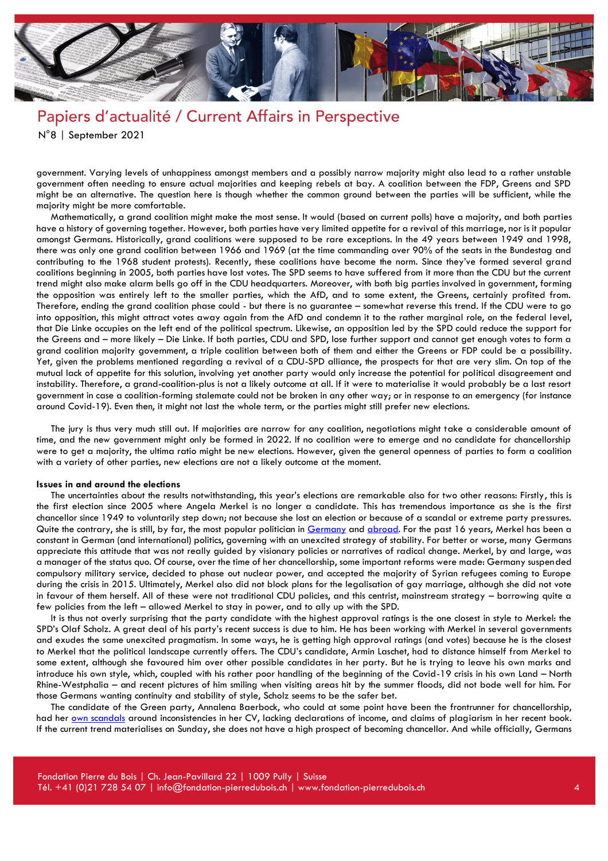

# Papiers d'actualité / Current Affairs in Perspective

N°8 | September 2021

government. Varying levels of unhappiness amongst members and a possibly narrow majority might also lead to a rather unstable government often needing to ensure actual majorities and keeping rebels at bay. A coalition between the FDP, Greens and SPD might be an alternative. The question here is though whether the common ground between the parties will be sufficient, while the majority might be more comfortable.

Mathematically, a grand coalition might make the most sense. It would (based on current polls) have a majority, and both parties have a history of governing together. However, both parties have very limited appetite for a revival of this marriage, nor is it popular amongst Germans. Historically, grand coalitions were supposed to be rare exceptions. In the 49 years between 1949 and 1998, there was only one grand coalition between 1966 and 1969 (at the time commanding over 90% of the seats in the Bundestag and contributing to the 1968 student protests). Recently, these coalitions have become the norm. Since they've formed several grand coalitions beginning in 2005, both parties have lost votes. The SPD seems to have suffered from it more than the CDU but the current trend might also make alarm bells go off in the CDU headquarters. Moreover, with both big parties involved in government, forming the opposition was entirely left to the smaller parties, which the AfD, and to some extent, the Greens, certainly profited from. Therefore, ending the grand coalition phase could - but there is no guarantee – somewhat reverse this trend. If the CDU were to go into opposition, this might attract votes away again from the AfD and condemn it to the rather marginal role, on the federal level, that Die Linke occupies on the left end of the political spectrum. Likewise, an opposition led by the SPD could reduce the support for the Greens and – more likely – Die Linke. If both parties, CDU and SPD, lose further support and cannot get enough votes to form a grand coalition majority government, a triple coalition between both of them and either the Greens or FDP could be a possibility. Yet, given the problems mentioned regarding a revival of a CDU-SPD alliance, the prospects for that are very slim. On top of the mutual lack of appetite for this solution, involving yet another party would only increase the potential for political disagreement and instability. Therefore, a grand-coalition-plus is not a likely outcome at all. If it were to materialise it would probably be a last resort government in case a coalition-forming stalemate could not be broken in any other way; or in response to an emergency (for instance around Covid-19). Even then, it might not last the whole term, or the parties might still prefer new elections.

The jury is thus very much still out. If majorities are narrow for any coalition, negotiations might take a considerable amount of time, and the new government might only be formed in 2022. If no coalition were to emerge and no candidate for chancellorship were to get a majority, the ultima ratio might be new elections. However, given the general openness of parties to form a coalition with a variety of other parties, new elections are not a likely outcome at the moment.

#### **Issues in and around the elections**

The uncertainties about the results notwithstanding, this year's elections are remarkable also for two other reasons: Firstly, this is the first election since 2005 where Angela Merkel is no longer a candidate. This has tremendous importance as she is the first chancellor since 1949 to voluntarily step down; not because she lost an election or because of a scandal or extreme party pressures. Quite the contrary, she is still, by far, the most popular politician in [Germany](https://www.forschungsgruppe.de/Umfragen/Politbarometer/Langzeitentwicklung_-_Themen_im_Ueberblick/Politik_II/#Sympathiewerte) and [abroad.](https://www.theguardian.com/world/2021/aug/26/angela-merkel-scores-higher-in-approval-ratings-than-any-current-world-leader?CMP=Share_iOSApp_Other) For the past 16 years, Merkel has been a constant in German (and international) politics, governing with an unexcited strategy of stability. For better or worse, many Germans appreciate this attitude that was not really guided by visionary policies or narratives of radical change. Merkel, by and large, was a manager of the status quo. Of course, over the time of her chancellorship, some important reforms were made: Germany suspended compulsory military service, decided to phase out nuclear power, and accepted the majority of Syrian refugees coming to Europe during the crisis in 2015. Ultimately, Merkel also did not block plans for the legalisation of gay marriage, although she did not vote in favour of them herself. All of these were not traditional CDU policies, and this centrist, mainstream strategy – borrowing quite a few policies from the left – allowed Merkel to stay in power, and to ally up with the SPD.

It is thus not overly surprising that the party candidate with the highest approval ratings is the one closest in style to Merkel: the SPD's Olaf Scholz. A great deal of his party's recent success is due to him. He has been working with Merkel in several governments and exudes the same unexcited pragmatism. In some ways, he is getting high approval ratings (and votes) because he is the closest to Merkel that the political landscape currently offers. The CDU's candidate, Armin Laschet, had to distance himself from Merkel to some extent, although she favoured him over other possible candidates in her party. But he is trying to leave his own marks and introduce his own style, which, coupled with his rather poor handling of the beginning of the Covid-19 crisis in his own Land – North Rhine-Westphalia – and recent pictures of him smiling when visiting areas hit by the summer floods, did not bode well for him. For those Germans wanting continuity and stability of style, Scholz seems to be the safer bet.

The candidate of the Green party, Annalena Baerbock, who could at some point have been the frontrunner for chancellorship, had her [own scandals](https://www.dw.com/en/german-green-party-candidate-annalena-baerbock-under-fire/a-58192858) around inconsistencies in her CV, lacking declarations of income, and claims of plagiarism in her recent book. If the current trend materialises on Sunday, she does not have a high prospect of becoming chancellor. And while officially, Germans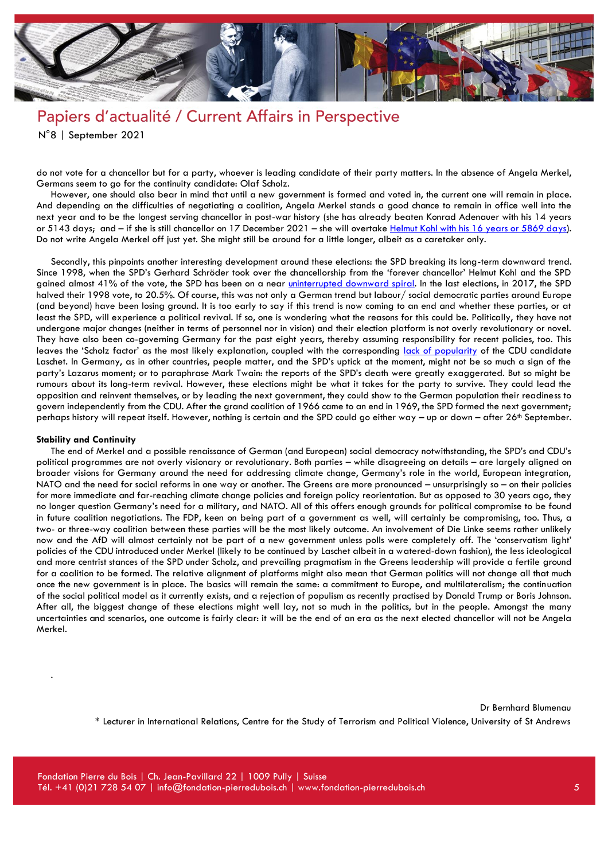

## Papiers d'actualité / Current Affairs in Perspective

N°8 | September 2021

do not vote for a chancellor but for a party, whoever is leading candidate of their party matters. In the absence of Angela Merkel, Germans seem to go for the continuity candidate: Olaf Scholz.

However, one should also bear in mind that until a new government is formed and voted in, the current one will remain in place. And depending on the difficulties of negotiating a coalition, Angela Merkel stands a good chance to remain in office well into the next year and to be the longest serving chancellor in post-war history (she has already beaten Konrad Adenauer with his 14 years or 5143 days; and - if she is still chancellor on 17 December 2021 - she will overtak[e Helmut Kohl with his 16 years or 5869 days\)](https://www.tagesspiegel.de/politik/5143-tage-bundeskanzlerin-angela-merkel-ueberholt-konrad-adenauer/25360068.html). Do not write Angela Merkel off just yet. She might still be around for a little longer, albeit as a caretaker only.

Secondly, this pinpoints another interesting development around these elections: the SPD breaking its long-term downward trend. Since 1998, when the SPD's Gerhard Schröder took over the chancellorship from the 'forever chancellor' Helmut Kohl and the SPD gained almost 41% of the vote, the SPD has been on a near [uninterrupted downward spiral.](https://www.bundestag.de/parlament/wahlen/ergebnisse_seit1949-244692) In the last elections, in 2017, the SPD halved their 1998 vote, to 20.5%. Of course, this was not only a German trend but labour/ social democratic parties around Europe (and beyond) have been losing ground. It is too early to say if this trend is now coming to an end and whether these parties, or at least the SPD, will experience a political revival. If so, one is wondering what the reasons for this could be. Politically, they have not undergone major changes (neither in terms of personnel nor in vision) and their election platform is not overly revolutionary or novel. They have also been co-governing Germany for the past eight years, thereby assuming responsibility for recent policies, too. This leaves the 'Scholz factor' as the most likely explanation, coupled with the corresponding [lack of popularity](https://www.forschungsgruppe.de/Umfragen/Politbarometer/Langzeitentwicklung_-_Themen_im_Ueberblick/Politik_II/#Sympathiewerte) of the CDU candidate Laschet. In Germany, as in other countries, people matter, and the SPD's uptick at the moment, might not be so much a sign of the party's Lazarus moment; or to paraphrase Mark Twain: the reports of the SPD's death were greatly exaggerated. But so might be rumours about its long-term revival. However, these elections might be what it takes for the party to survive. They could lead the opposition and reinvent themselves, or by leading the next government, they could show to the German population their readiness to govern independently from the CDU. After the grand coalition of 1966 came to an end in 1969, the SPD formed the next government; perhaps history will repeat itself. However, nothing is certain and the SPD could go either way – up or down – after 26<sup>th</sup> September.

#### **Stability and Continuity**

.

The end of Merkel and a possible renaissance of German (and European) social democracy notwithstanding, the SPD's and CDU's political programmes are not overly visionary or revolutionary. Both parties – while disagreeing on details – are largely aligned on broader visions for Germany around the need for addressing climate change, Germany's role in the world, European integration, NATO and the need for social reforms in one way or another. The Greens are more pronounced – unsurprisingly so – on their policies for more immediate and far-reaching climate change policies and foreign policy reorientation. But as opposed to 30 years ago, they no longer question Germany's need for a military, and NATO. All of this offers enough grounds for political compromise to be found in future coalition negotiations. The FDP, keen on being part of a government as well, will certainly be compromising, too. Thus, a two- or three-way coalition between these parties will be the most likely outcome. An involvement of Die Linke seems rather unlikely now and the AfD will almost certainly not be part of a new government unless polls were completely off. The 'conservatism light' policies of the CDU introduced under Merkel (likely to be continued by Laschet albeit in a watered-down fashion), the less ideological and more centrist stances of the SPD under Scholz, and prevailing pragmatism in the Greens leadership will provide a fertile ground for a coalition to be formed. The relative alignment of platforms might also mean that German politics will not change all that much once the new government is in place. The basics will remain the same: a commitment to Europe, and multilateralism; the continuation of the social political model as it currently exists, and a rejection of populism as recently practised by Donald Trump or Boris Johnson. After all, the biggest change of these elections might well lay, not so much in the politics, but in the people. Amongst the many uncertainties and scenarios, one outcome is fairly clear: it will be the end of an era as the next elected chancellor will not be Angela Merkel.

Dr Bernhard Blumenau

\* Lecturer in International Relations, Centre for the Study of Terrorism and Political Violence, University of St Andrews

Fondation Pierre du Bois | Ch. Jean-Pavillard 22 | 1009 Pully | Suisse Tél. +41 (0)21 728 54 07 | info@fondation-pierredubois.ch | www.fondation-pierredubois.ch 5